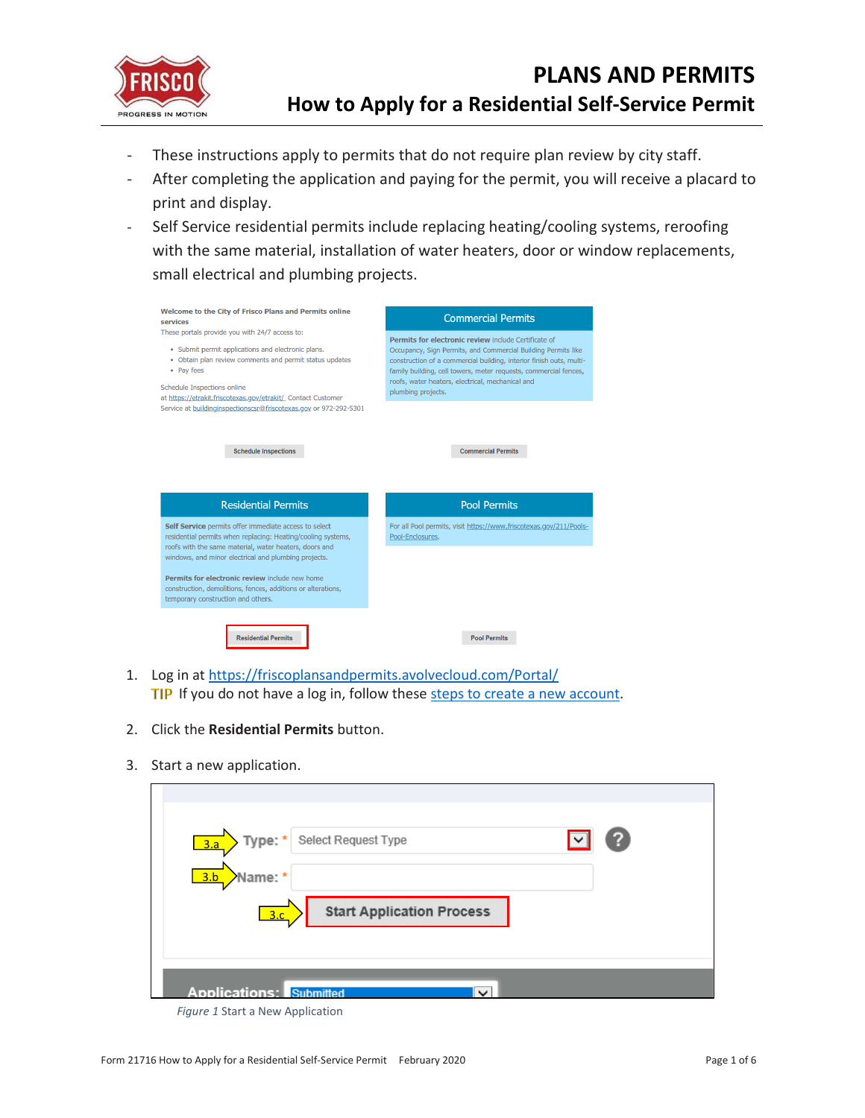

- These instructions apply to permits that do not require plan review by city staff.
- After completing the application and paying for the permit, you will receive a placard to print and display.
- Self Service residential permits include replacing heating/cooling systems, reroofing with the same material, installation of water heaters, door or window replacements, small electrical and plumbing projects.

| Welcome to the City of Frisco Plans and Permits online<br>services<br>These portals provide you with 24/7 access to:<br>• Submit permit applications and electronic plans.<br>• Obtain plan review comments and permit status updates<br>• Pav fees                                                                                                                                             | <b>Commercial Permits</b><br>Permits for electronic review include Certificate of<br>Occupancy, Sign Permits, and Commercial Building Permits like<br>construction of a commercial building, interior finish outs, multi-<br>family building, cell towers, meter requests, commercial fences, |  |
|-------------------------------------------------------------------------------------------------------------------------------------------------------------------------------------------------------------------------------------------------------------------------------------------------------------------------------------------------------------------------------------------------|-----------------------------------------------------------------------------------------------------------------------------------------------------------------------------------------------------------------------------------------------------------------------------------------------|--|
| Schedule Inspections online<br>at https://etrakit.friscotexas.gov/etrakit/_ Contact Customer<br>Service at buildinginspectionscsr@friscotexas.gov or 972-292-5301                                                                                                                                                                                                                               | roofs, water heaters, electrical, mechanical and<br>plumbing projects.                                                                                                                                                                                                                        |  |
| <b>Schedule Inspections</b><br><b>Residential Permits</b>                                                                                                                                                                                                                                                                                                                                       | <b>Commercial Permits</b><br><b>Pool Permits</b>                                                                                                                                                                                                                                              |  |
| Self Service permits offer immediate access to select<br>residential permits when replacing: Heating/cooling systems,<br>roofs with the same material, water heaters, doors and<br>windows, and minor electrical and plumbing projects.<br>Permits for electronic review include new home<br>construction, demolitions, fences, additions or alterations,<br>temporary construction and others. | For all Pool permits, visit https://www.friscotexas.gov/211/Pools-<br>Pool-Enclosures.                                                                                                                                                                                                        |  |
| <b>Residential Permits</b>                                                                                                                                                                                                                                                                                                                                                                      | <b>Pool Permits</b>                                                                                                                                                                                                                                                                           |  |

- 1. Log in a[t https://friscoplansandpermits.avolvecloud.com/Portal/](https://friscoplansandpermits.avolvecloud.com/Portal/) TIP If you do not have a log in, follow these [steps to create a new account.](https://www.friscotexas.gov/DocumentCenter/View/21715)
- 2. Click the **Residential Permits** button.
- 3. Start a new application.

| Type: * Select Request Type                    | ? |
|------------------------------------------------|---|
| 3.a                                            |   |
| Name: *<br>$\frac{3}{b}$                       |   |
| <b>Start Application Process</b>               |   |
| 3.c.                                           |   |
|                                                |   |
|                                                |   |
| <b>Applications: Submitted</b><br>$\checkmark$ |   |

*Figure 1* Start a New Application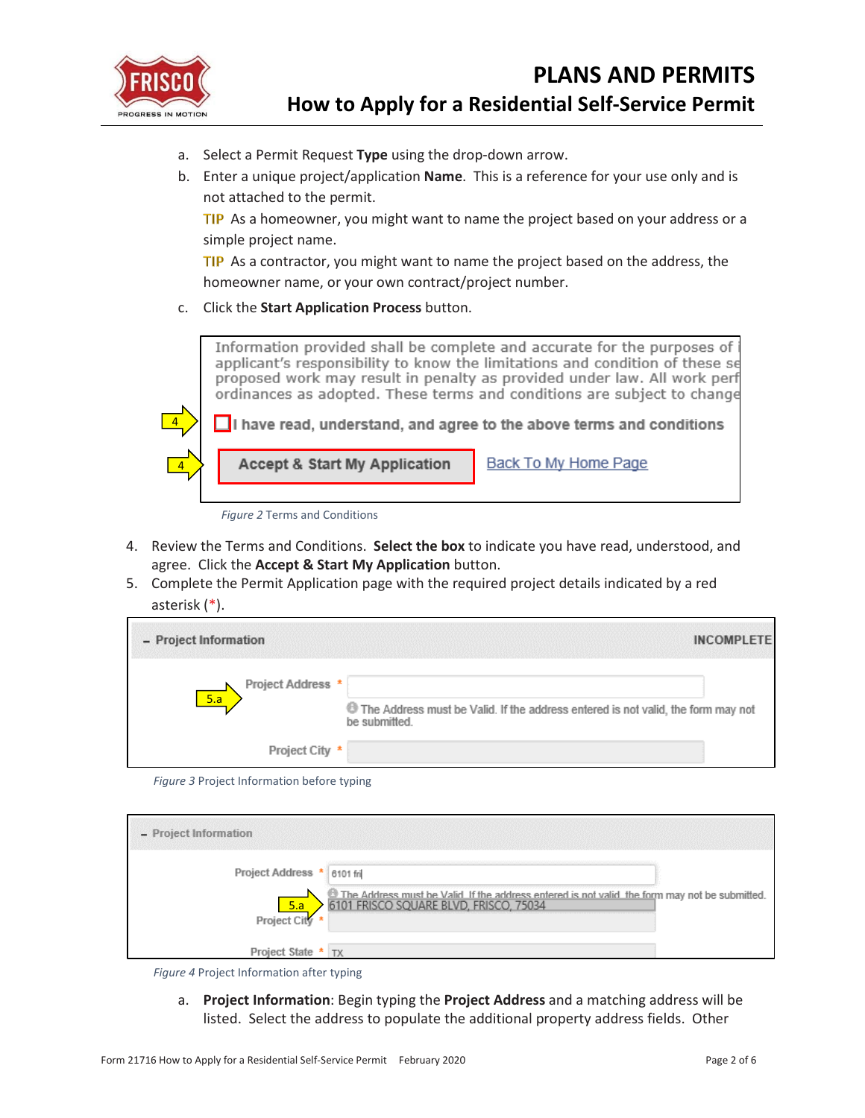

4

- a. Select a Permit Request **Type** using the drop-down arrow.
- b. Enter a unique project/application **Name**. This is a reference for your use only and is not attached to the permit.

TIP As a homeowner, you might want to name the project based on your address or a simple project name.

TIP As a contractor, you might want to name the project based on the address, the homeowner name, or your own contract/project number.

c. Click the **Start Application Process** button.



*Figure 2* Terms and Conditions

**Accept & Start My Application** 

- 4. Review the Terms and Conditions. **Select the box** to indicate you have read, understood, and agree. Click the **Accept & Start My Application** button.
- 5. Complete the Permit Application page with the required project details indicated by a red asterisk (\*).

| - Project Information                 | <b>INCOMPLETE</b>                                                                                 |
|---------------------------------------|---------------------------------------------------------------------------------------------------|
| Project Address *<br>$\overline{5.a}$ | The Address must be Valid. If the address entered is not valid, the form may not<br>be submitted. |
| Project City *                        |                                                                                                   |

*Figure 3* Project Information before typing

| - Project Information                                      |                                                                                                                                           |  |
|------------------------------------------------------------|-------------------------------------------------------------------------------------------------------------------------------------------|--|
| Project Address * 6101 fri<br><u>5.a</u><br>Project City * | C The Address must be Valid If the address entered is not valid, the form may not be submitted.<br>6101 FRISCO SQUARE BLVD, FRISCO, 75034 |  |
| Project State * TX                                         |                                                                                                                                           |  |

*Figure 4* Project Information after typing

a. **Project Information**: Begin typing the **Project Address** and a matching address will be listed. Select the address to populate the additional property address fields. Other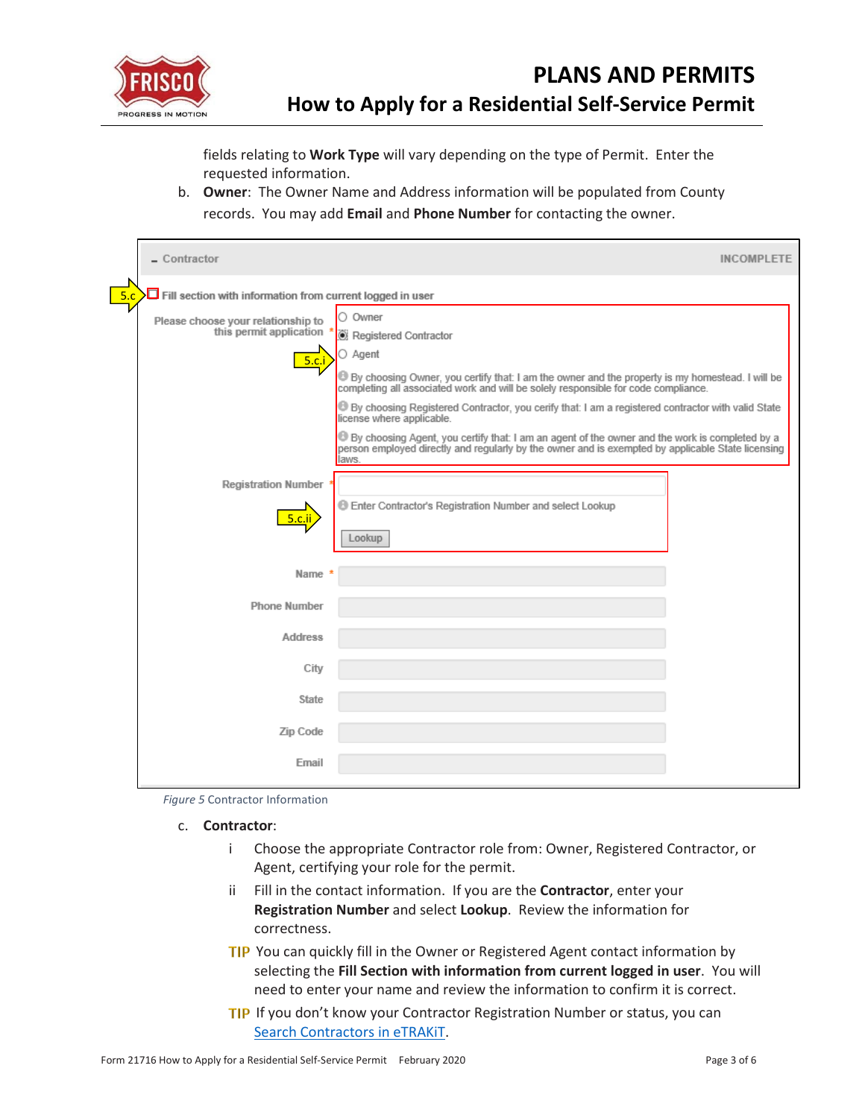

fields relating to **Work Type** will vary depending on the type of Permit. Enter the requested information.

b. **Owner**: The Owner Name and Address information will be populated from County records. You may add **Email** and **Phone Number** for contacting the owner.

| $-$ Contractor                                                          |                                                                                                                                                                                                              | <b>INCOMPLETE</b> |
|-------------------------------------------------------------------------|--------------------------------------------------------------------------------------------------------------------------------------------------------------------------------------------------------------|-------------------|
| 5.c<br>$\Box$ Fill section with information from current logged in user |                                                                                                                                                                                                              |                   |
| Please choose your relationship to<br>this permit application           | Owner<br>Ο<br>Registered Contractor                                                                                                                                                                          |                   |
| 5.c.i                                                                   | ○ Agent                                                                                                                                                                                                      |                   |
|                                                                         | By choosing Owner, you certify that: I am the owner and the property is my homestead. I will be completing all associated work and will be solely responsible for code compliance.                           |                   |
|                                                                         | By choosing Registered Contractor, you cerify that: I am a registered contractor with valid State<br>license where applicable.                                                                               |                   |
|                                                                         | By choosing Agent, you certify that: I am an agent of the owner and the work is completed by a<br>person employed directly and regularly by the owner and is exempted by applicable State licensing<br>laws. |                   |
| <b>Registration Number</b>                                              |                                                                                                                                                                                                              |                   |
| <u>5.c.ii</u>                                                           | <b>Enter Contractor's Registration Number and select Lookup</b><br>Lookup                                                                                                                                    |                   |
| Name                                                                    |                                                                                                                                                                                                              |                   |
| <b>Phone Number</b>                                                     |                                                                                                                                                                                                              |                   |
| <b>Address</b>                                                          |                                                                                                                                                                                                              |                   |
| City                                                                    |                                                                                                                                                                                                              |                   |
| State                                                                   |                                                                                                                                                                                                              |                   |
| Zip Code                                                                |                                                                                                                                                                                                              |                   |
| Email                                                                   |                                                                                                                                                                                                              |                   |

<span id="page-2-2"></span><span id="page-2-0"></span>*Figure 5* Contractor Information

- <span id="page-2-1"></span>c. **Contractor**:
	- i Choose the appropriate Contractor role from: Owner, Registered Contractor, or Agent, certifying your role for the permit.
	- ii Fill in the contact information. If you are the **Contractor**, enter your **Registration Number** and select **Lookup**. Review the information for correctness.
	- TIP You can quickly fill in the Owner or Registered Agent contact information by selecting the **Fill Section with information from current logged in user**. You will need to enter your name and review the information to confirm it is correct.
	- **TIP** If you don't know your Contractor Registration Number or status, you can [Search Contractors in eTRAKiT.](https://etrakit.friscotexas.gov/etrakit/Search/aec.aspx)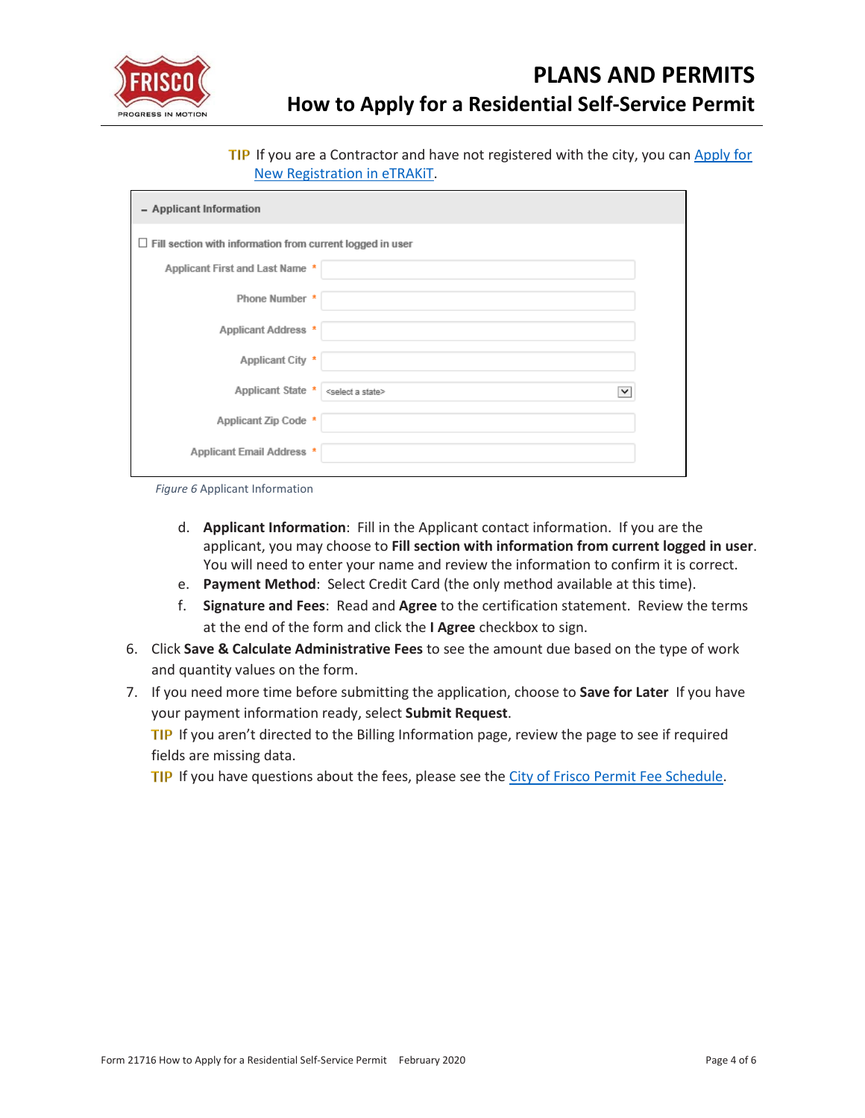

TIP If you are a Contractor and have not registered with the city, you can Apply for [New Registration in eTRAKiT.](https://etrakit.friscotexas.gov/etrakit/AecApplication/AECAppStep1.aspx)

| - Applicant Information                                          |                                                                              |  |
|------------------------------------------------------------------|------------------------------------------------------------------------------|--|
| $\Box$ Fill section with information from current logged in user |                                                                              |  |
| Applicant First and Last Name *                                  |                                                                              |  |
| Phone Number *                                                   |                                                                              |  |
| Applicant Address *                                              |                                                                              |  |
| Applicant City *                                                 |                                                                              |  |
| Applicant State *                                                | <select a="" state=""><br/><math display="inline">\checkmark</math></select> |  |
| Applicant Zip Code *                                             |                                                                              |  |
| Applicant Email Address *                                        |                                                                              |  |

*Figure 6* Applicant Information

- d. **Applicant Information**: Fill in the Applicant contact information. If you are the applicant, you may choose to **Fill section with information from current logged in user**. You will need to enter your name and review the information to confirm it is correct.
- e. **Payment Method**: Select Credit Card (the only method available at this time).
- f. **Signature and Fees**: Read and **Agree** to the certification statement. Review the terms at the end of the form and click the **I Agree** checkbox to sign.
- 6. Click **Save & Calculate Administrative Fees** to see the amount due based on the type of work and quantity values on the form.
- 7. If you need more time before submitting the application, choose to **Save for Later** If you have your payment information ready, select **Submit Request**.

TIP If you aren't directed to the Billing Information page, review the page to see if required fields are missing data.

TIP If you have questions about the fees, please see th[e City of Frisco Permit Fee Schedule.](https://www.friscotexas.gov/DocumentCenter/View/864)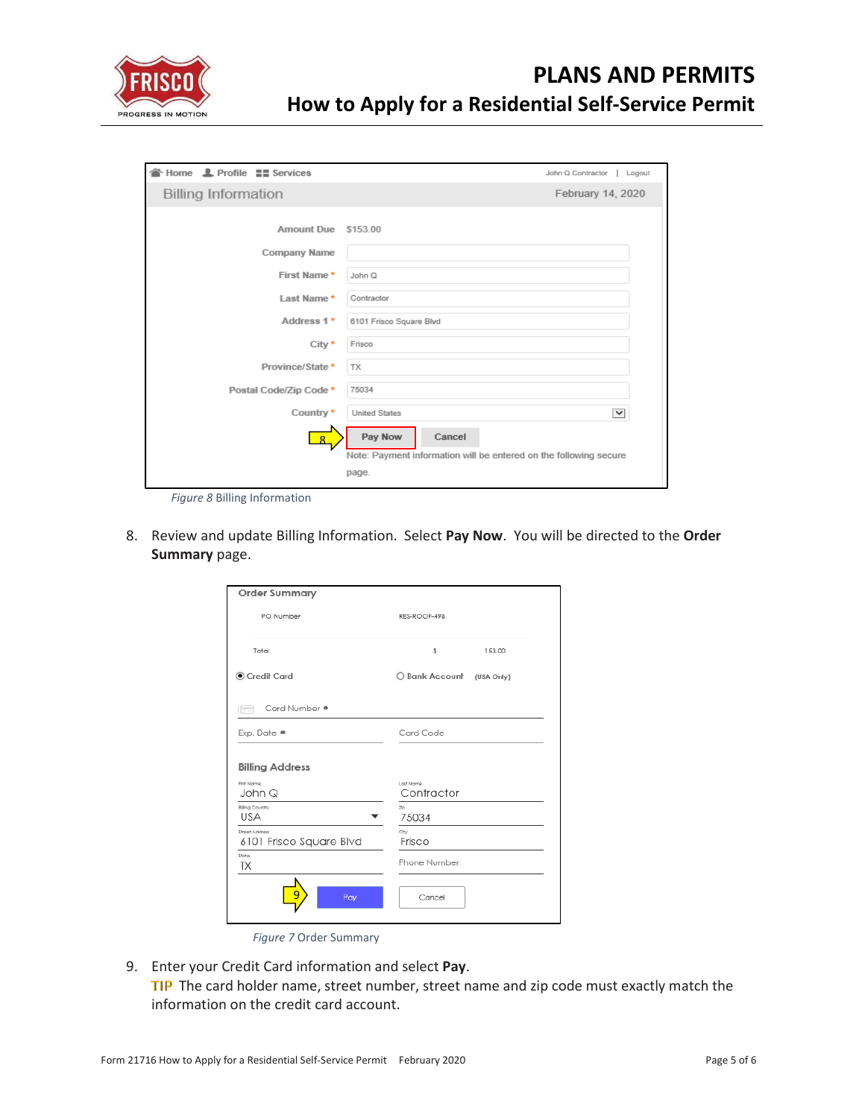

| <sup>→</sup> Home <b>L</b> Profile <b>==</b> Services | John Q Contractor<br>Logout                                                            |
|-------------------------------------------------------|----------------------------------------------------------------------------------------|
| <b>Billing Information</b>                            | February 14, 2020                                                                      |
| Amount Due                                            | \$153.00                                                                               |
| Company Name                                          |                                                                                        |
| First Name*                                           | John Q                                                                                 |
| Last Name*                                            | Contractor                                                                             |
| Address 1*                                            | 6101 Frisco Square Blvd                                                                |
| City *                                                | Frisco                                                                                 |
| Province/State *                                      | <b>TX</b>                                                                              |
| Postal Code/Zip Code *                                | 75034                                                                                  |
| Country*                                              | <b>United States</b><br>▽                                                              |
| $\mathbf{R}$                                          | Pay Now<br>Cancel<br>Note: Payment information will be entered on the following secure |
|                                                       | page.                                                                                  |

*Figure 8* Billing Information

<span id="page-4-0"></span>8. Review and update Billing Information. Select **Pay Now**. You will be directed to the **Order Summary** page.

| <b>Order Summary</b>                      |                              |
|-------------------------------------------|------------------------------|
| PO Number                                 | RES-ROOF-498                 |
| Total                                     | \$<br>153.00                 |
| Credit Card                               | O Bank Account<br>(USA Only) |
| Card Number *<br>$\Box$                   |                              |
| Exp. Date *                               | Card Code                    |
| <b>Billing Address</b>                    |                              |
| First Name<br>John Q                      | Last Name<br>Contractor      |
| <b>Billing Country</b><br><b>USA</b>      | Zo<br>75034                  |
| Street Address<br>6101 Frisco Square Blvd | City<br>Frisco               |
| State<br>ТX                               | Phone Number                 |
| Pay                                       | Cancel                       |

*Figure 7* Order Summary

<span id="page-4-1"></span>9. Enter your Credit Card information and select **Pay**. TIP The card holder name, street number, street name and zip code must exactly match the information on the credit card account.